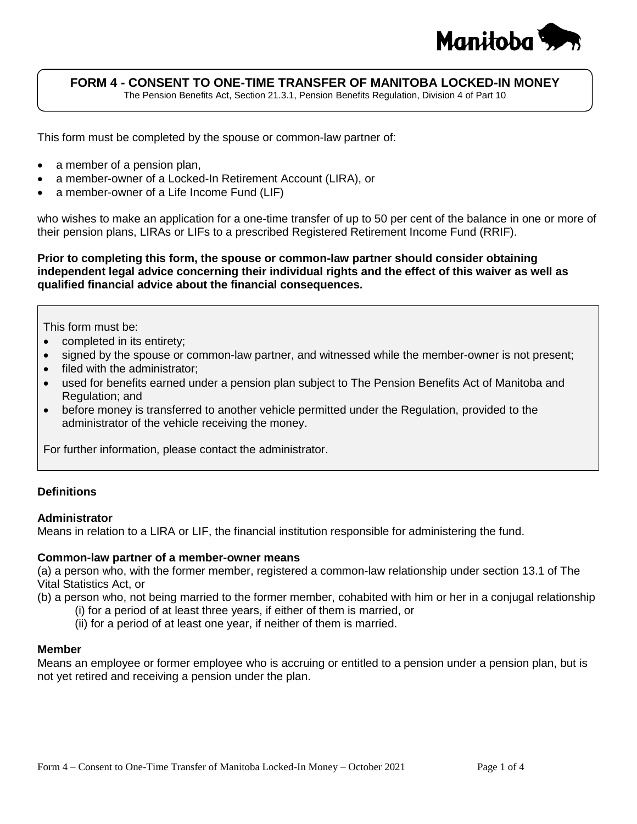

# **FORM 4 - CONSENT TO ONE-TIME TRANSFER OF MANITOBA LOCKED-IN MONEY**

The Pension Benefits Act, Section 21.3.1, Pension Benefits Regulation, Division 4 of Part 10

This form must be completed by the spouse or common-law partner of:

- a member of a pension plan,
- a member-owner of a Locked-In Retirement Account (LIRA), or
- a member-owner of a Life Income Fund (LIF)

who wishes to make an application for a one-time transfer of up to 50 per cent of the balance in one or more of their pension plans, LIRAs or LIFs to a prescribed Registered Retirement Income Fund (RRIF).

**Prior to completing this form, the spouse or common-law partner should consider obtaining independent legal advice concerning their individual rights and the effect of this waiver as well as qualified financial advice about the financial consequences.**

#### This form must be:

- completed in its entirety;
- signed by the spouse or common-law partner, and witnessed while the member-owner is not present;
- filed with the administrator;
- used for benefits earned under a pension plan subject to The Pension Benefits Act of Manitoba and Regulation; and
- before money is transferred to another vehicle permitted under the Regulation, provided to the administrator of the vehicle receiving the money.

For further information, please contact the administrator.

## **Definitions**

#### **Administrator**

Means in relation to a LIRA or LIF, the financial institution responsible for administering the fund.

#### **Common-law partner of a member-owner means**

(a) a person who, with the former member, registered a common-law relationship under section 13.1 of The Vital Statistics Act, or

(b) a person who, not being married to the former member, cohabited with him or her in a conjugal relationship

- (i) for a period of at least three years, if either of them is married, or
- (ii) for a period of at least one year, if neither of them is married.

#### **Member**

Means an employee or former employee who is accruing or entitled to a pension under a pension plan, but is not yet retired and receiving a pension under the plan.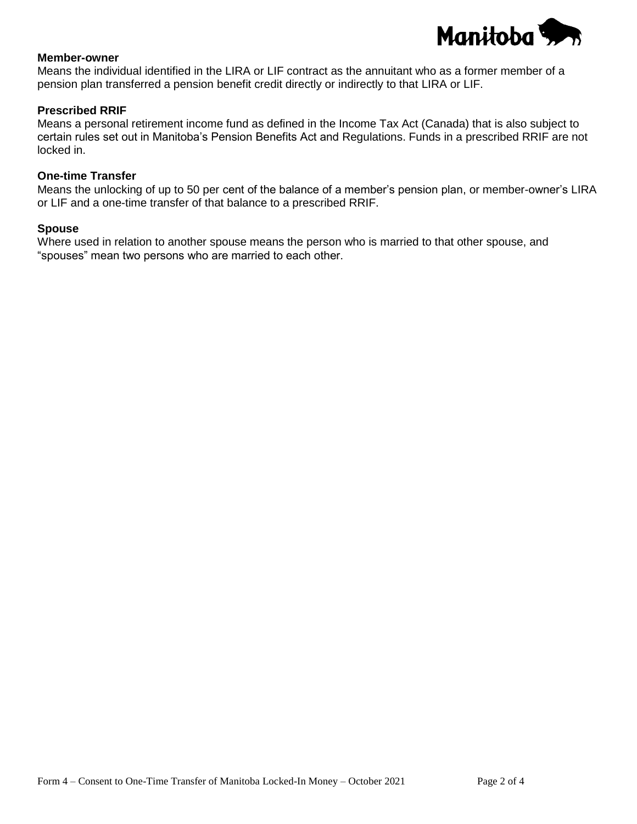

## **Member-owner**

Means the individual identified in the LIRA or LIF contract as the annuitant who as a former member of a pension plan transferred a pension benefit credit directly or indirectly to that LIRA or LIF.

## **Prescribed RRIF**

Means a personal retirement income fund as defined in the Income Tax Act (Canada) that is also subject to certain rules set out in Manitoba's Pension Benefits Act and Regulations. Funds in a prescribed RRIF are not locked in.

## **One-time Transfer**

Means the unlocking of up to 50 per cent of the balance of a member's pension plan, or member-owner's LIRA or LIF and a one-time transfer of that balance to a prescribed RRIF.

### **Spouse**

Where used in relation to another spouse means the person who is married to that other spouse, and "spouses" mean two persons who are married to each other.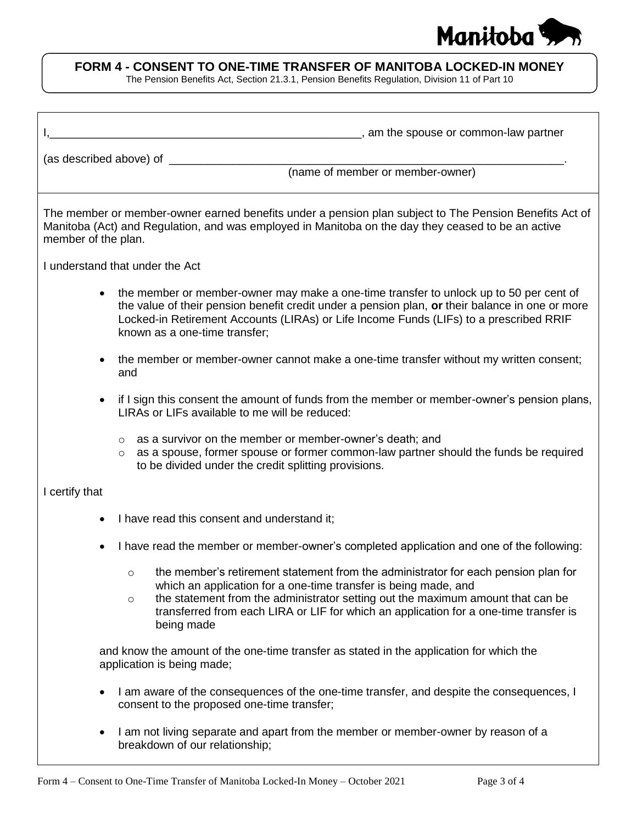

# **FORM 4 - CONSENT TO ONE-TIME TRANSFER OF MANITOBA LOCKED-IN MONEY**

The Pension Benefits Act, Section 21.3.1, Pension Benefits Regulation, Division 11 of Part 10

| (name of member or member-owner)                                                                                                                                                                                                                                                                                                                                     |
|----------------------------------------------------------------------------------------------------------------------------------------------------------------------------------------------------------------------------------------------------------------------------------------------------------------------------------------------------------------------|
| The member or member-owner earned benefits under a pension plan subject to The Pension Benefits Act of<br>Manitoba (Act) and Regulation, and was employed in Manitoba on the day they ceased to be an active<br>member of the plan.                                                                                                                                  |
| I understand that under the Act                                                                                                                                                                                                                                                                                                                                      |
| the member or member-owner may make a one-time transfer to unlock up to 50 per cent of<br>$\bullet$<br>the value of their pension benefit credit under a pension plan, or their balance in one or more<br>Locked-in Retirement Accounts (LIRAs) or Life Income Funds (LIFs) to a prescribed RRIF<br>known as a one-time transfer;                                    |
| the member or member-owner cannot make a one-time transfer without my written consent;<br>and                                                                                                                                                                                                                                                                        |
| if I sign this consent the amount of funds from the member or member-owner's pension plans,<br>٠<br>LIRAs or LIFs available to me will be reduced:                                                                                                                                                                                                                   |
| as a survivor on the member or member-owner's death; and<br>$\circ$<br>as a spouse, former spouse or former common-law partner should the funds be required<br>$\circ$<br>to be divided under the credit splitting provisions.                                                                                                                                       |
| I certify that                                                                                                                                                                                                                                                                                                                                                       |
| I have read this consent and understand it;                                                                                                                                                                                                                                                                                                                          |
| I have read the member or member-owner's completed application and one of the following:<br>٠                                                                                                                                                                                                                                                                        |
| the member's retirement statement from the administrator for each pension plan for<br>$\cap$<br>which an application for a one-time transfer is being made, and<br>the statement from the administrator setting out the maximum amount that can be<br>$\circ$<br>transferred from each LIRA or LIF for which an application for a one-time transfer is<br>being made |
| and know the amount of the one-time transfer as stated in the application for which the<br>application is being made;                                                                                                                                                                                                                                                |
| I am aware of the consequences of the one-time transfer, and despite the consequences, I<br>٠<br>consent to the proposed one-time transfer;                                                                                                                                                                                                                          |
| I am not living separate and apart from the member or member-owner by reason of a<br>٠<br>breakdown of our relationship;                                                                                                                                                                                                                                             |